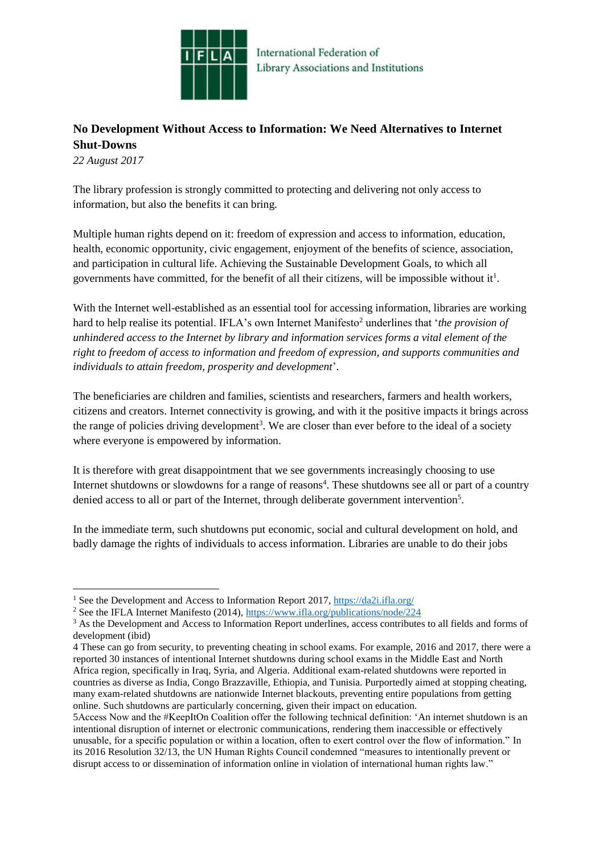

## **No Development Without Access to Information: We Need Alternatives to Internet Shut-Downs**

*22 August 2017*

1

The library profession is strongly committed to protecting and delivering not only access to information, but also the benefits it can bring.

Multiple human rights depend on it: freedom of expression and access to information, education, health, economic opportunity, civic engagement, enjoyment of the benefits of science, association, and participation in cultural life. Achieving the Sustainable Development Goals, to which all governments have committed, for the benefit of all their citizens, will be impossible without it<sup>1</sup>.

With the Internet well-established as an essential tool for accessing information, libraries are working hard to help realise its potential. IFLA's own Internet Manifesto<sup>2</sup> underlines that '*the provision of unhindered access to the Internet by library and information services forms a vital element of the right to freedom of access to information and freedom of expression, and supports communities and individuals to attain freedom, prosperity and development*'.

The beneficiaries are children and families, scientists and researchers, farmers and health workers, citizens and creators. Internet connectivity is growing, and with it the positive impacts it brings across the range of policies driving development<sup>3</sup>. We are closer than ever before to the ideal of a society where everyone is empowered by information.

It is therefore with great disappointment that we see governments increasingly choosing to use Internet shutdowns or slowdowns for a range of reasons<sup>4</sup>. These shutdowns see all or part of a country denied access to all or part of the Internet, through deliberate government intervention<sup>5</sup>.

In the immediate term, such shutdowns put economic, social and cultural development on hold, and badly damage the rights of individuals to access information. Libraries are unable to do their jobs

<sup>1</sup> See the Development and Access to Information Report 2017,<https://da2i.ifla.org/>

<sup>&</sup>lt;sup>2</sup> See the IFLA Internet Manifesto (2014),<https://www.ifla.org/publications/node/224>

<sup>&</sup>lt;sup>3</sup> As the Development and Access to Information Report underlines, access contributes to all fields and forms of development (ibid)

<sup>4</sup> These can go from security, to preventing cheating in school exams. For example, 2016 and 2017, there were a reported 30 instances of intentional Internet shutdowns during school exams in the Middle East and North Africa region, specifically in Iraq, Syria, and Algeria. Additional exam-related shutdowns were reported in countries as diverse as India, Congo Brazzaville, Ethiopia, and Tunisia. Purportedly aimed at stopping cheating, many exam-related shutdowns are nationwide Internet blackouts, preventing entire populations from getting online. Such shutdowns are particularly concerning, given their impact on education.

<sup>5</sup>Access Now and the #KeepItOn Coalition offer the following technical definition: 'An internet shutdown is an intentional disruption of internet or electronic communications, rendering them inaccessible or effectively unusable, for a specific population or within a location, often to exert control over the flow of information." In its 2016 Resolution 32/13, the UN Human Rights Council condemned "measures to intentionally prevent or disrupt access to or dissemination of information online in violation of international human rights law."